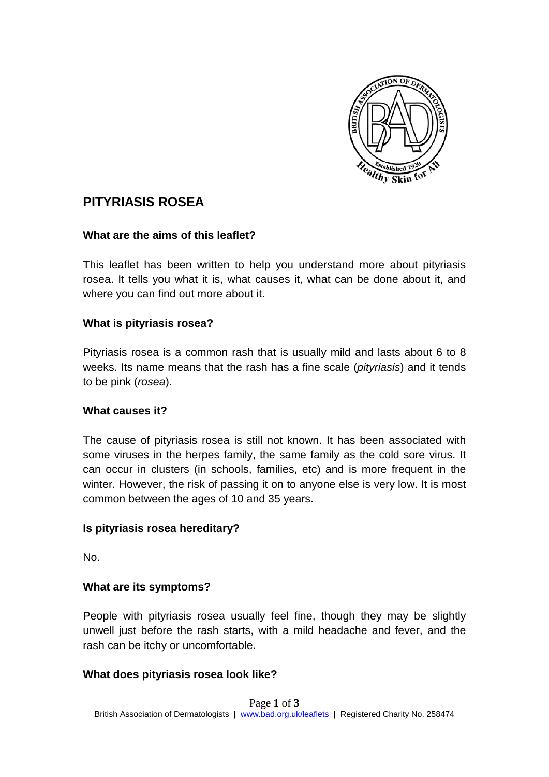

# **PITYRIASIS ROSEA**

## **What are the aims of this leaflet?**

This leaflet has been written to help you understand more about pityriasis rosea. It tells you what it is, what causes it, what can be done about it, and where you can find out more about it.

## **What is pityriasis rosea?**

Pityriasis rosea is a common rash that is usually mild and lasts about 6 to 8 weeks. Its name means that the rash has a fine scale (*pityriasis*) and it tends to be pink (*rosea*).

#### **What causes it?**

The cause of pityriasis rosea is still not known. It has been associated with some viruses in the herpes family, the same family as the cold sore virus. It can occur in clusters (in schools, families, etc) and is more frequent in the winter. However, the risk of passing it on to anyone else is very low. It is most common between the ages of 10 and 35 years.

## **Is pityriasis rosea hereditary?**

No.

## **What are its symptoms?**

People with pityriasis rosea usually feel fine, though they may be slightly unwell just before the rash starts, with a mild headache and fever, and the rash can be itchy or uncomfortable.

## **What does pityriasis rosea look like?**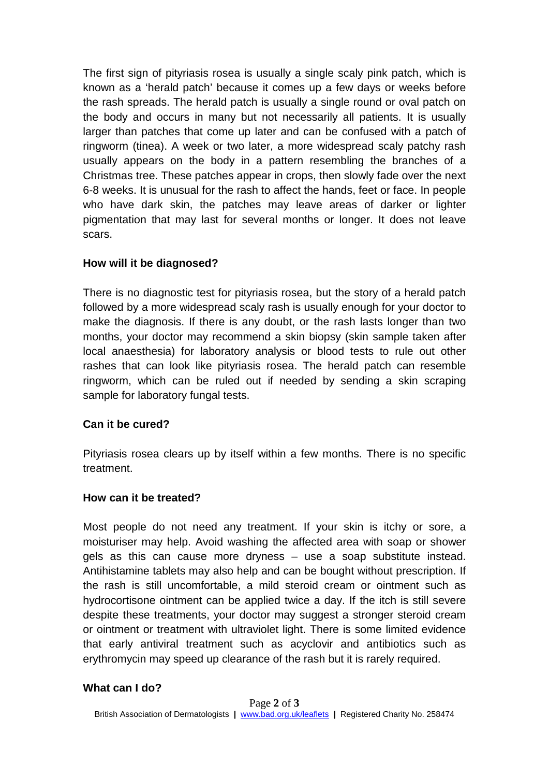The first sign of pityriasis rosea is usually a single scaly pink patch, which is known as a 'herald patch' because it comes up a few days or weeks before the rash spreads. The herald patch is usually a single round or oval patch on the body and occurs in many but not necessarily all patients. It is usually larger than patches that come up later and can be confused with a patch of ringworm (tinea). A week or two later, a more widespread scaly patchy rash usually appears on the body in a pattern resembling the branches of a Christmas tree. These patches appear in crops, then slowly fade over the next 6-8 weeks. It is unusual for the rash to affect the hands, feet or face. In people who have dark skin, the patches may leave areas of darker or lighter pigmentation that may last for several months or longer. It does not leave scars.

## **How will it be diagnosed?**

There is no diagnostic test for pityriasis rosea, but the story of a herald patch followed by a more widespread scaly rash is usually enough for your doctor to make the diagnosis. If there is any doubt, or the rash lasts longer than two months, your doctor may recommend a skin biopsy (skin sample taken after local anaesthesia) for laboratory analysis or blood tests to rule out other rashes that can look like pityriasis rosea. The herald patch can resemble ringworm, which can be ruled out if needed by sending a skin scraping sample for laboratory fungal tests.

#### **Can it be cured?**

Pityriasis rosea clears up by itself within a few months. There is no specific treatment.

## **How can it be treated?**

Most people do not need any treatment. If your skin is itchy or sore, a moisturiser may help. Avoid washing the affected area with soap or shower gels as this can cause more dryness – use a soap substitute instead. Antihistamine tablets may also help and can be bought without prescription. If the rash is still uncomfortable, a mild steroid cream or ointment such as hydrocortisone ointment can be applied twice a day. If the itch is still severe despite these treatments, your doctor may suggest a stronger steroid cream or ointment or treatment with ultraviolet light. There is some limited evidence that early antiviral treatment such as acyclovir and antibiotics such as erythromycin may speed up clearance of the rash but it is rarely required.

#### **What can I do?**